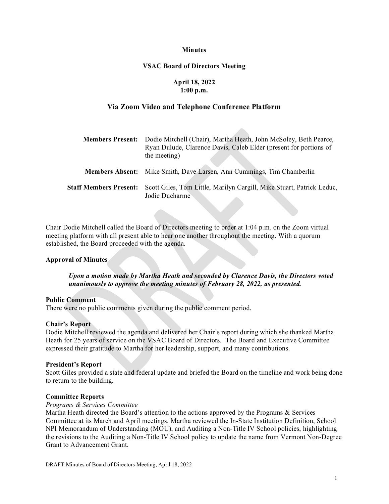### **Minutes**

### **VSAC Board of Directors Meeting**

### **April 18, 2022 1:00 p.m.**

# **Via Zoom Video and Telephone Conference Platform**

| <b>Members Present:</b>       | Dodie Mitchell (Chair), Martha Heath, John McSoley, Beth Pearce,<br>Ryan Dulude, Clarence Davis, Caleb Elder (present for portions of<br>the meeting) |
|-------------------------------|-------------------------------------------------------------------------------------------------------------------------------------------------------|
|                               | <b>Members Absent:</b> Mike Smith, Dave Larsen, Ann Cummings, Tim Chamberlin                                                                          |
| <b>Staff Members Present:</b> | Scott Giles, Tom Little, Marilyn Cargill, Mike Stuart, Patrick Leduc,<br>Jodie Ducharme                                                               |

Chair Dodie Mitchell called the Board of Directors meeting to order at 1:04 p.m. on the Zoom virtual meeting platform with all present able to hear one another throughout the meeting. With a quorum established, the Board proceeded with the agenda.

### **Approval of Minutes**

*Upon a motion made by Martha Heath and seconded by Clarence Davis, the Directors voted unanimously to approve the meeting minutes of February 28, 2022, as presented.* 

### **Public Comment**

There were no public comments given during the public comment period.

### **Chair's Report**

Dodie Mitchell reviewed the agenda and delivered her Chair's report during which she thanked Martha Heath for 25 years of service on the VSAC Board of Directors. The Board and Executive Committee expressed their gratitude to Martha for her leadership, support, and many contributions.

### **President's Report**

Scott Giles provided a state and federal update and briefed the Board on the timeline and work being done to return to the building.

### **Committee Reports**

### *Programs & Services Committee*

Martha Heath directed the Board's attention to the actions approved by the Programs & Services Committee at its March and April meetings. Martha reviewed the In-State Institution Definition, School NPI Memorandum of Understanding (MOU), and Auditing a Non-Title IV School policies, highlighting the revisions to the Auditing a Non-Title IV School policy to update the name from Vermont Non-Degree Grant to Advancement Grant.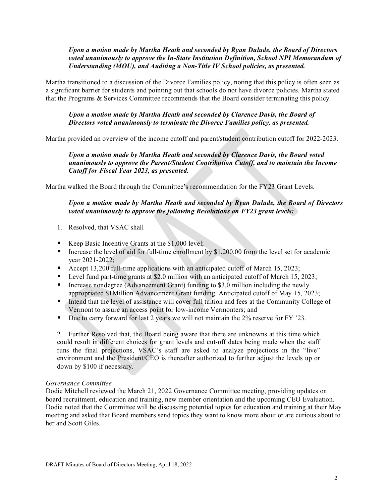# *Upon a motion made by Martha Heath and seconded by Ryan Dulude, the Board of Directors voted unanimously to approve the In-State Institution Definition, School NPI Memorandum of Understanding (MOU), and Auditing a Non-Title IV School policies, as presented.*

Martha transitioned to a discussion of the Divorce Families policy, noting that this policy is often seen as a significant barrier for students and pointing out that schools do not have divorce policies. Martha stated that the Programs & Services Committee recommends that the Board consider terminating this policy.

# *Upon a motion made by Martha Heath and seconded by Clarence Davis, the Board of Directors voted unanimously to terminate the Divorce Families policy, as presented.*

Martha provided an overview of the income cutoff and parent/student contribution cutoff for 2022-2023.

# *Upon a motion made by Martha Heath and seconded by Clarence Davis, the Board voted unanimously to approve the Parent/Student Contribution Cutoff, and to maintain the Income Cutoff for Fiscal Year 2023, as presented.*

Martha walked the Board through the Committee's recommendation for the FY23 Grant Levels.

# *Upon a motion made by Martha Heath and seconded by Ryan Dulude, the Board of Directors voted unanimously to approve the following Resolutions on FY23 grant levels:*

- 1. Resolved, that VSAC shall
- Keep Basic Incentive Grants at the  $$1,000$  level;
- Increase the level of aid for full-time enrollment by  $$1,200.00$  from the level set for academic year 2021-2022;
- Accept 13,200 full-time applications with an anticipated cutoff of March 15, 2023;
- Level fund part-time grants at \$2.0 million with an anticipated cutoff of March 15, 2023;
- Increase nondegree (Advancement Grant) funding to \$3.0 million including the newly appropriated \$1Million Advancement Grant funding. Anticipated cutoff of May 15, 2023;
- Intend that the level of assistance will cover full tuition and fees at the Community College of Vermont to assure an access point for low-income Vermonters; and
- Due to carry forward for last 2 years we will not maintain the 2% reserve for FY '23.

2. Further Resolved that, the Board being aware that there are unknowns at this time which could result in different choices for grant levels and cut-off dates being made when the staff runs the final projections, VSAC's staff are asked to analyze projections in the "live" environment and the President/CEO is thereafter authorized to further adjust the levels up or down by \$100 if necessary.

### *Governance Committee*

Dodie Mitchell reviewed the March 21, 2022 Governance Committee meeting, providing updates on board recruitment, education and training, new member orientation and the upcoming CEO Evaluation. Dodie noted that the Committee will be discussing potential topics for education and training at their May meeting and asked that Board members send topics they want to know more about or are curious about to her and Scott Giles.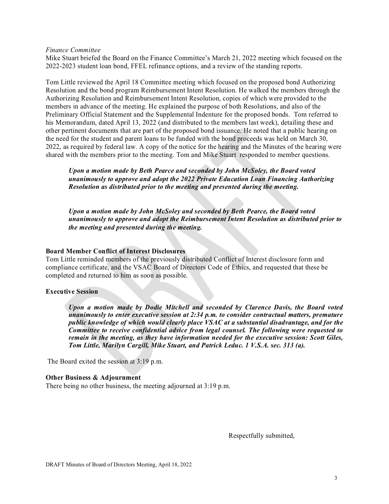### *Finance Committee*

Mike Stuart briefed the Board on the Finance Committee's March 21, 2022 meeting which focused on the 2022-2023 student loan bond, FFEL refinance options, and a review of the standing reports.

Tom Little reviewed the April 18 Committee meeting which focused on the proposed bond Authorizing Resolution and the bond program Reimbursement Intent Resolution. He walked the members through the Authorizing Resolution and Reimbursement Intent Resolution, copies of which were provided to the members in advance of the meeting. He explained the purpose of both Resolutions, and also of the Preliminary Official Statement and the Supplemental Indenture for the proposed bonds. Tom referred to his Memorandum, dated April 13, 2022 (and distributed to the members last week), detailing these and other pertinent documents that are part of the proposed bond issuance. He noted that a public hearing on the need for the student and parent loans to be funded with the bond proceeds was held on March 30, 2022, as required by federal law. A copy of the notice for the hearing and the Minutes of the hearing were shared with the members prior to the meeting. Tom and Mike Stuart responded to member questions.

*Upon a motion made by Beth Pearce and seconded by John McSoley, the Board voted unanimously to approve and adopt the 2022 Private Education Loan Financing Authorizing Resolution as distributed prior to the meeting and presented during the meeting.* 

*Upon a motion made by John McSoley and seconded by Beth Pearce, the Board voted unanimously to approve and adopt the Reimbursement Intent Resolution as distributed prior to the meeting and presented during the meeting.* 

### **Board Member Conflict of Interest Disclosures**

Tom Little reminded members of the previously distributed Conflict of Interest disclosure form and compliance certificate, and the VSAC Board of Directors Code of Ethics, and requested that these be completed and returned to him as soon as possible.

### **Executive Session**

*Upon a motion made by Dodie Mitchell and seconded by Clarence Davis, the Board voted unanimously to enter executive session at 2:34 p.m. to consider contractual matters, premature public knowledge of which would clearly place VSAC at a substantial disadvantage, and for the Committee to receive confidential advice from legal counsel. The following were requested to remain in the meeting, as they have information needed for the executive session: Scott Giles, Tom Little, Marilyn Cargill, Mike Stuart, and Patrick Leduc. 1 V.S.A. sec. 313 (a).*

The Board exited the session at 3:19 p.m.

# **Other Business & Adjournment**

There being no other business, the meeting adjourned at 3:19 p.m.

Respectfully submitted,